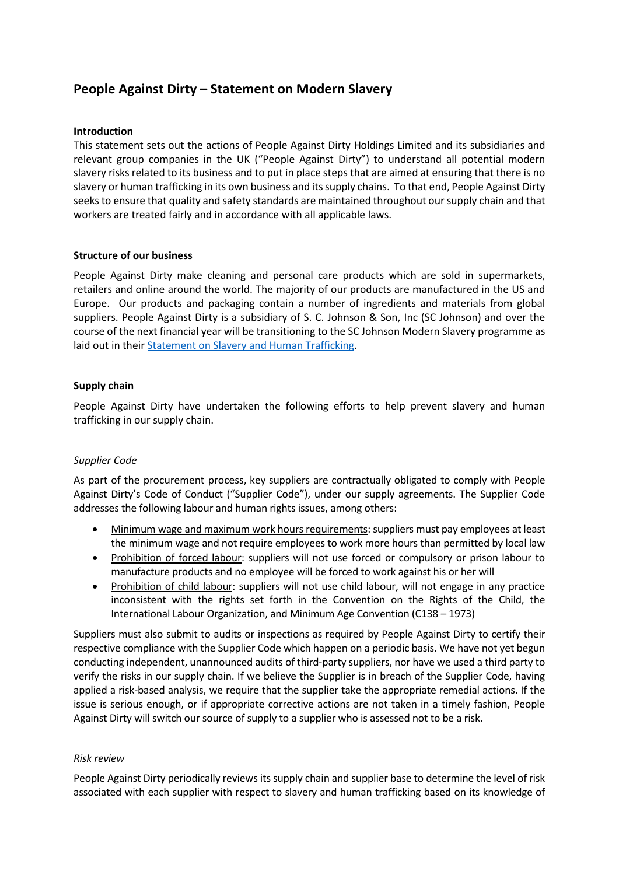# **People Against Dirty – Statement on Modern Slavery**

## **Introduction**

This statement sets out the actions of People Against Dirty Holdings Limited and its subsidiaries and relevant group companies in the UK ("People Against Dirty") to understand all potential modern slavery risks related to its business and to put in place steps that are aimed at ensuring that there is no slavery or human trafficking in its own business and its supply chains. To that end, People Against Dirty seeks to ensure that quality and safety standards are maintained throughout our supply chain and that workers are treated fairly and in accordance with all applicable laws.

## **Structure of our business**

People Against Dirty make cleaning and personal care products which are sold in supermarkets, retailers and online around the world. The majority of our products are manufactured in the US and Europe. Our products and packaging contain a number of ingredients and materials from global suppliers. People Against Dirty is a subsidiary of S. C. Johnson & Son, Inc (SC Johnson) and over the course of the next financial year will be transitioning to the SC Johnson Modern Slavery programme as laid out in their [Statement on Slavery and Human Trafficking.](https://www.scjohnson.com/en/newsroom/statements/sc-johnson-statement-on-slavery-and-human-trafficking)

# **Supply chain**

People Against Dirty have undertaken the following efforts to help prevent slavery and human trafficking in our supply chain.

# *Supplier Code*

As part of the procurement process, key suppliers are contractually obligated to comply with People Against Dirty's Code of Conduct ("Supplier Code"), under our supply agreements. The Supplier Code addresses the following labour and human rights issues, among others:

- Minimum wage and maximum work hours requirements: suppliers must pay employees at least the minimum wage and not require employees to work more hours than permitted by local law
- Prohibition of forced labour: suppliers will not use forced or compulsory or prison labour to manufacture products and no employee will be forced to work against his or her will
- Prohibition of child labour: suppliers will not use child labour, will not engage in any practice inconsistent with the rights set forth in the Convention on the Rights of the Child, the International Labour Organization, and Minimum Age Convention (C138 – 1973)

Suppliers must also submit to audits or inspections as required by People Against Dirty to certify their respective compliance with the Supplier Code which happen on a periodic basis. We have not yet begun conducting independent, unannounced audits of third-party suppliers, nor have we used a third party to verify the risks in our supply chain. If we believe the Supplier is in breach of the Supplier Code, having applied a risk-based analysis, we require that the supplier take the appropriate remedial actions. If the issue is serious enough, or if appropriate corrective actions are not taken in a timely fashion, People Against Dirty will switch our source of supply to a supplier who is assessed not to be a risk.

### *Risk review*

People Against Dirty periodically reviews its supply chain and supplier base to determine the level of risk associated with each supplier with respect to slavery and human trafficking based on its knowledge of